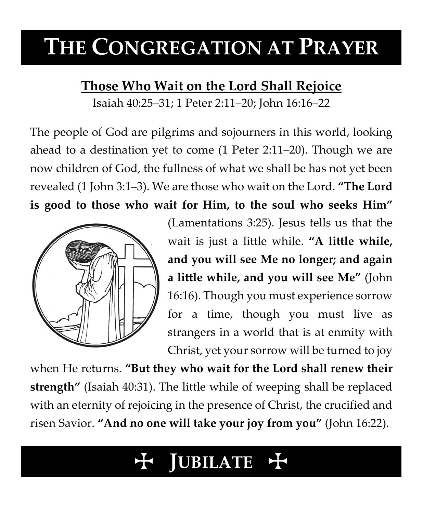# **THE CONGREGATION AT PRAYER**

# **Those Who Wait on the Lord Shall Rejoice**

Isaiah 40:25–31; 1 Peter 2:11–20; John 16:16–22

The people of God are pilgrims and sojourners in this world, looking ahead to a destination yet to come (1 Peter 2:11–20). Though we are now children of God, the fullness of what we shall be has not yet been revealed (1 John 3:1–3). We are those who wait on the Lord. **"The Lord** 

**is good to those who wait for Him, to the soul who seeks Him"**



(Lamentations 3:25). Jesus tells us that the wait is just a little while. **"A little while, and you will see Me no longer; and again a little while, and you will see Me"** (John 16:16). Though you must experience sorrow for a time, though you must live as strangers in a world that is at enmity with Christ, yet your sorrow will be turned to joy

when He returns. **"But they who wait for the Lord shall renew their strength"** (Isaiah 40:31). The little while of weeping shall be replaced with an eternity of rejoicing in the presence of Christ, the crucified and risen Savior. **"And no one will take your joy from you"** (John 16:22).

# **JUBILATE**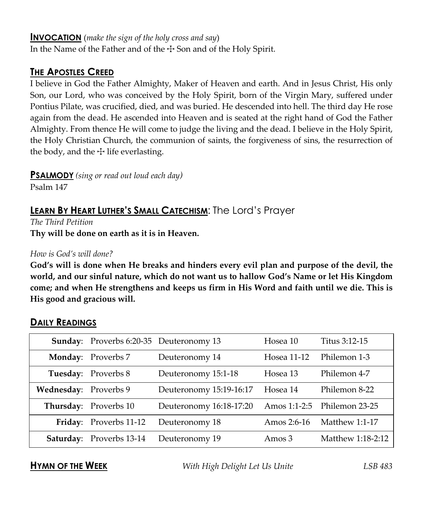#### **INVOCATION** (*make the sign of the holy cross and say*)

In the Name of the Father and of the  $\pm$  Son and of the Holy Spirit.

# **THE APOSTLES CREED**

I believe in God the Father Almighty, Maker of Heaven and earth. And in Jesus Christ, His only Son, our Lord, who was conceived by the Holy Spirit, born of the Virgin Mary, suffered under Pontius Pilate, was crucified, died, and was buried. He descended into hell. The third day He rose again from the dead. He ascended into Heaven and is seated at the right hand of God the Father Almighty. From thence He will come to judge the living and the dead. I believe in the Holy Spirit, the Holy Christian Church, the communion of saints, the forgiveness of sins, the resurrection of the body, and the  $\pm$  life everlasting.

**PSALMODY** *(sing or read out loud each day)*

Psalm 147

# **LEARN BY HEART LUTHER'S SMALL CATECHISM**: The Lord's Prayer

*The Third Petition* **Thy will be done on earth as it is in Heaven.**

#### *How is God's will done?*

**God's will is done when He breaks and hinders every evil plan and purpose of the devil, the world, and our sinful nature, which do not want us to hallow God's Name or let His Kingdom come; and when He strengthens and keeps us firm in His Word and faith until we die. This is His good and gracious will.**

|                       | Sunday: Proverbs 6:20-35 Deuteronomy 13 | Hosea 10                        |                                   | Titus 3:12-15     |
|-----------------------|-----------------------------------------|---------------------------------|-----------------------------------|-------------------|
|                       | <b>Monday:</b> Proverbs 7               | Hosea 11-12<br>Deuteronomy 14   |                                   | Philemon 1-3      |
|                       | Tuesday: Proverbs 8                     | Deuteronomy 15:1-18<br>Hosea 13 |                                   | Philemon 4-7      |
| Wednesday: Proverbs 9 |                                         | Deuteronomy 15:19-16:17         | Hosea 14                          | Philemon 8-22     |
|                       | <b>Thursday:</b> Proverbs 10            | Deuteronomy 16:18-17:20         | Amos 1:1-2:5                      | Philemon 23-25    |
|                       | Friday: Proverbs 11-12                  | Deuteronomy 18                  | Matthew $1:1-17$<br>Amos $2:6-16$ |                   |
|                       | <b>Saturday:</b> Proverbs 13-14         | Deuteronomy 19                  | Amos $3$                          | Matthew 1:18-2:12 |

### **DAILY READINGS**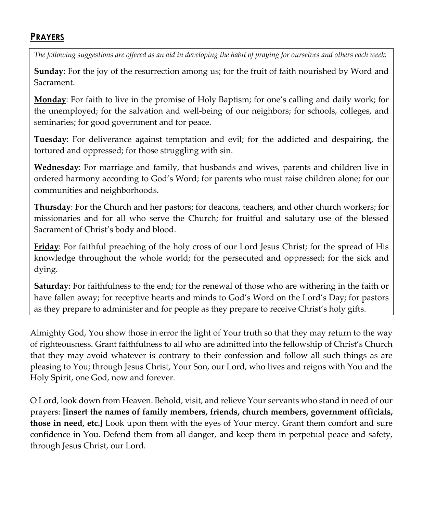## **PRAYERS**

*The following suggestions are offered as an aid in developing the habit of praying for ourselves and others each week:*

**Sunday**: For the joy of the resurrection among us; for the fruit of faith nourished by Word and Sacrament.

**Monday**: For faith to live in the promise of Holy Baptism; for one's calling and daily work; for the unemployed; for the salvation and well-being of our neighbors; for schools, colleges, and seminaries; for good government and for peace.

**Tuesday**: For deliverance against temptation and evil; for the addicted and despairing, the tortured and oppressed; for those struggling with sin.

**Wednesday**: For marriage and family, that husbands and wives, parents and children live in ordered harmony according to God's Word; for parents who must raise children alone; for our communities and neighborhoods.

**Thursday**: For the Church and her pastors; for deacons, teachers, and other church workers; for missionaries and for all who serve the Church; for fruitful and salutary use of the blessed Sacrament of Christ's body and blood.

**Friday**: For faithful preaching of the holy cross of our Lord Jesus Christ; for the spread of His knowledge throughout the whole world; for the persecuted and oppressed; for the sick and dying.

**Saturday**: For faithfulness to the end; for the renewal of those who are withering in the faith or have fallen away; for receptive hearts and minds to God's Word on the Lord's Day; for pastors as they prepare to administer and for people as they prepare to receive Christ's holy gifts.

Almighty God, You show those in error the light of Your truth so that they may return to the way of righteousness. Grant faithfulness to all who are admitted into the fellowship of Christ's Church that they may avoid whatever is contrary to their confession and follow all such things as are pleasing to You; through Jesus Christ, Your Son, our Lord, who lives and reigns with You and the Holy Spirit, one God, now and forever.

O Lord, look down from Heaven. Behold, visit, and relieve Your servants who stand in need of our prayers: **[insert the names of family members, friends, church members, government officials, those in need, etc.]** Look upon them with the eyes of Your mercy. Grant them comfort and sure confidence in You. Defend them from all danger, and keep them in perpetual peace and safety, through Jesus Christ, our Lord.